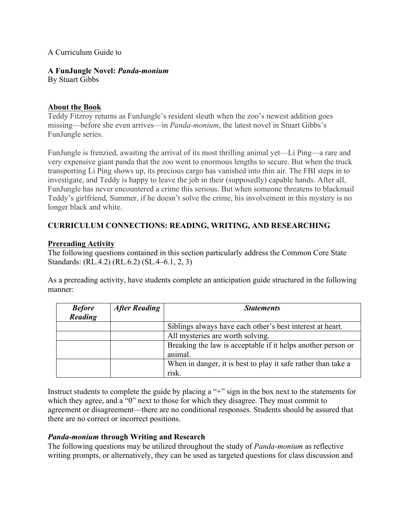### A Curriculum Guide to

# **A FunJungle Novel:** *Panda-monium*

By Stuart Gibbs

### **About the Book**

Teddy Fitzroy returns as FunJungle's resident sleuth when the zoo's newest addition goes missing—before she even arrives—in *Panda-monium*, the latest novel in Stuart Gibbs's FunJungle series.

FunJungle is frenzied, awaiting the arrival of its most thrilling animal yet—Li Ping—a rare and very expensive giant panda that the zoo went to enormous lengths to secure. But when the truck transporting Li Ping shows up, its precious cargo has vanished into thin air. The FBI steps in to investigate, and Teddy is happy to leave the job in their (supposedly) capable hands. After all, FunJungle has never encountered a crime this serious. But when someone threatens to blackmail Teddy's girlfriend, Summer, if he doesn't solve the crime, his involvement in this mystery is no longer black and white.

# **CURRICULUM CONNECTIONS: READING, WRITING, AND RESEARCHING**

## **Prereading Activity**

The following questions contained in this section particularly address the Common Core State Standards: (RL.4.2) (RL.6.2) (SL.4–6.1, 2, 3)

As a prereading activity, have students complete an anticipation guide structured in the following manner:

| <b>Before</b> | <b>After Reading</b> | <b>Statements</b>                                             |
|---------------|----------------------|---------------------------------------------------------------|
| Reading       |                      |                                                               |
|               |                      | Siblings always have each other's best interest at heart.     |
|               |                      | All mysteries are worth solving.                              |
|               |                      | Breaking the law is acceptable if it helps another person or  |
|               |                      | animal.                                                       |
|               |                      | When in danger, it is best to play it safe rather than take a |
|               |                      | risk.                                                         |

Instruct students to complete the guide by placing a "+" sign in the box next to the statements for which they agree, and a "0" next to those for which they disagree. They must commit to agreement or disagreement—there are no conditional responses. Students should be assured that there are no correct or incorrect positions.

#### *Panda-monium* **through Writing and Research**

The following questions may be utilized throughout the study of *Panda-monium* as reflective writing prompts, or alternatively, they can be used as targeted questions for class discussion and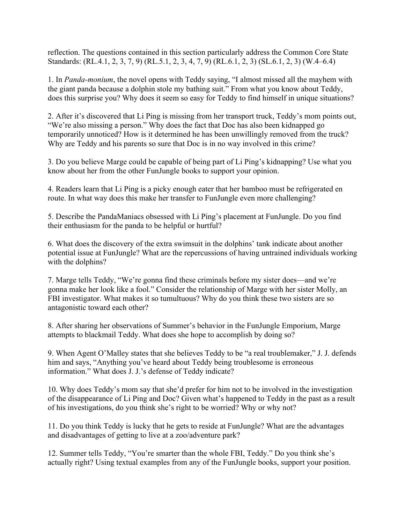reflection. The questions contained in this section particularly address the Common Core State Standards: (RL.4.1, 2, 3, 7, 9) (RL.5.1, 2, 3, 4, 7, 9) (RL.6.1, 2, 3) (SL.6.1, 2, 3) (W.4–6.4)

1. In *Panda-monium*, the novel opens with Teddy saying, "I almost missed all the mayhem with the giant panda because a dolphin stole my bathing suit." From what you know about Teddy, does this surprise you? Why does it seem so easy for Teddy to find himself in unique situations?

2. After it's discovered that Li Ping is missing from her transport truck, Teddy's mom points out, "We're also missing a person." Why does the fact that Doc has also been kidnapped go temporarily unnoticed? How is it determined he has been unwillingly removed from the truck? Why are Teddy and his parents so sure that Doc is in no way involved in this crime?

3. Do you believe Marge could be capable of being part of Li Ping's kidnapping? Use what you know about her from the other FunJungle books to support your opinion.

4. Readers learn that Li Ping is a picky enough eater that her bamboo must be refrigerated en route. In what way does this make her transfer to FunJungle even more challenging?

5. Describe the PandaManiacs obsessed with Li Ping's placement at FunJungle. Do you find their enthusiasm for the panda to be helpful or hurtful?

6. What does the discovery of the extra swimsuit in the dolphins' tank indicate about another potential issue at FunJungle? What are the repercussions of having untrained individuals working with the dolphins?

7. Marge tells Teddy, "We're gonna find these criminals before my sister does—and we're gonna make her look like a fool." Consider the relationship of Marge with her sister Molly, an FBI investigator. What makes it so tumultuous? Why do you think these two sisters are so antagonistic toward each other?

8. After sharing her observations of Summer's behavior in the FunJungle Emporium, Marge attempts to blackmail Teddy. What does she hope to accomplish by doing so?

9. When Agent O'Malley states that she believes Teddy to be "a real troublemaker," J. J. defends him and says, "Anything you've heard about Teddy being troublesome is erroneous information." What does J. J.'s defense of Teddy indicate?

10. Why does Teddy's mom say that she'd prefer for him not to be involved in the investigation of the disappearance of Li Ping and Doc? Given what's happened to Teddy in the past as a result of his investigations, do you think she's right to be worried? Why or why not?

11. Do you think Teddy is lucky that he gets to reside at FunJungle? What are the advantages and disadvantages of getting to live at a zoo/adventure park?

12. Summer tells Teddy, "You're smarter than the whole FBI, Teddy." Do you think she's actually right? Using textual examples from any of the FunJungle books, support your position.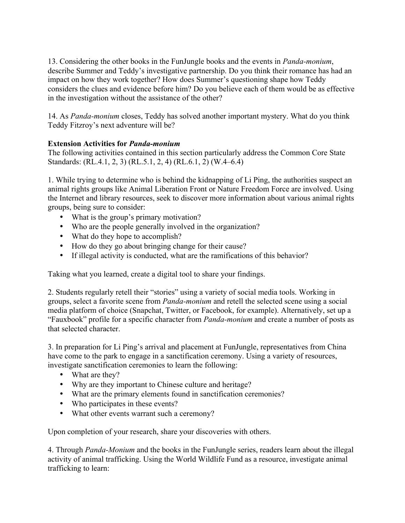13. Considering the other books in the FunJungle books and the events in *Panda-monium*, describe Summer and Teddy's investigative partnership. Do you think their romance has had an impact on how they work together? How does Summer's questioning shape how Teddy considers the clues and evidence before him? Do you believe each of them would be as effective in the investigation without the assistance of the other?

14. As *Panda-monium* closes, Teddy has solved another important mystery. What do you think Teddy Fitzroy's next adventure will be?

# **Extension Activities for** *Panda-monium*

The following activities contained in this section particularly address the Common Core State Standards: (RL.4.1, 2, 3) (RL.5.1, 2, 4) (RL.6.1, 2) (W.4–6.4)

1. While trying to determine who is behind the kidnapping of Li Ping, the authorities suspect an animal rights groups like Animal Liberation Front or Nature Freedom Force are involved. Using the Internet and library resources, seek to discover more information about various animal rights groups, being sure to consider:

- What is the group's primary motivation?
- Who are the people generally involved in the organization?
- What do they hope to accomplish?
- How do they go about bringing change for their cause?
- If illegal activity is conducted, what are the ramifications of this behavior?

Taking what you learned, create a digital tool to share your findings.

2. Students regularly retell their "stories" using a variety of social media tools. Working in groups, select a favorite scene from *Panda-monium* and retell the selected scene using a social media platform of choice (Snapchat, Twitter, or Facebook, for example). Alternatively, set up a "Fauxbook" profile for a specific character from *Panda-monium* and create a number of posts as that selected character.

3. In preparation for Li Ping's arrival and placement at FunJungle, representatives from China have come to the park to engage in a sanctification ceremony. Using a variety of resources, investigate sanctification ceremonies to learn the following:

- What are they?
- Why are they important to Chinese culture and heritage?
- What are the primary elements found in sanctification ceremonies?
- Who participates in these events?
- What other events warrant such a ceremony?

Upon completion of your research, share your discoveries with others.

4. Through *Panda-Monium* and the books in the FunJungle series, readers learn about the illegal activity of animal trafficking. Using the World Wildlife Fund as a resource, investigate animal trafficking to learn: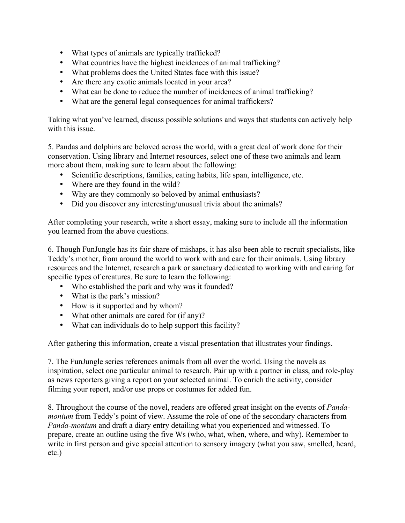- What types of animals are typically trafficked?
- What countries have the highest incidences of animal trafficking?
- What problems does the United States face with this issue?
- Are there any exotic animals located in your area?
- What can be done to reduce the number of incidences of animal trafficking?
- What are the general legal consequences for animal traffickers?

Taking what you've learned, discuss possible solutions and ways that students can actively help with this issue.

5. Pandas and dolphins are beloved across the world, with a great deal of work done for their conservation. Using library and Internet resources, select one of these two animals and learn more about them, making sure to learn about the following:

- Scientific descriptions, families, eating habits, life span, intelligence, etc.
- Where are they found in the wild?
- Why are they commonly so beloved by animal enthusiasts?
- Did you discover any interesting/unusual trivia about the animals?

After completing your research, write a short essay, making sure to include all the information you learned from the above questions.

6. Though FunJungle has its fair share of mishaps, it has also been able to recruit specialists, like Teddy's mother, from around the world to work with and care for their animals. Using library resources and the Internet, research a park or sanctuary dedicated to working with and caring for specific types of creatures. Be sure to learn the following:

- Who established the park and why was it founded?
- What is the park's mission?
- How is it supported and by whom?
- What other animals are cared for (if any)?
- What can individuals do to help support this facility?

After gathering this information, create a visual presentation that illustrates your findings.

7. The FunJungle series references animals from all over the world. Using the novels as inspiration, select one particular animal to research. Pair up with a partner in class, and role-play as news reporters giving a report on your selected animal. To enrich the activity, consider filming your report, and/or use props or costumes for added fun.

8. Throughout the course of the novel, readers are offered great insight on the events of *Pandamonium* from Teddy's point of view. Assume the role of one of the secondary characters from *Panda-monium* and draft a diary entry detailing what you experienced and witnessed. To prepare, create an outline using the five Ws (who, what, when, where, and why). Remember to write in first person and give special attention to sensory imagery (what you saw, smelled, heard, etc.)